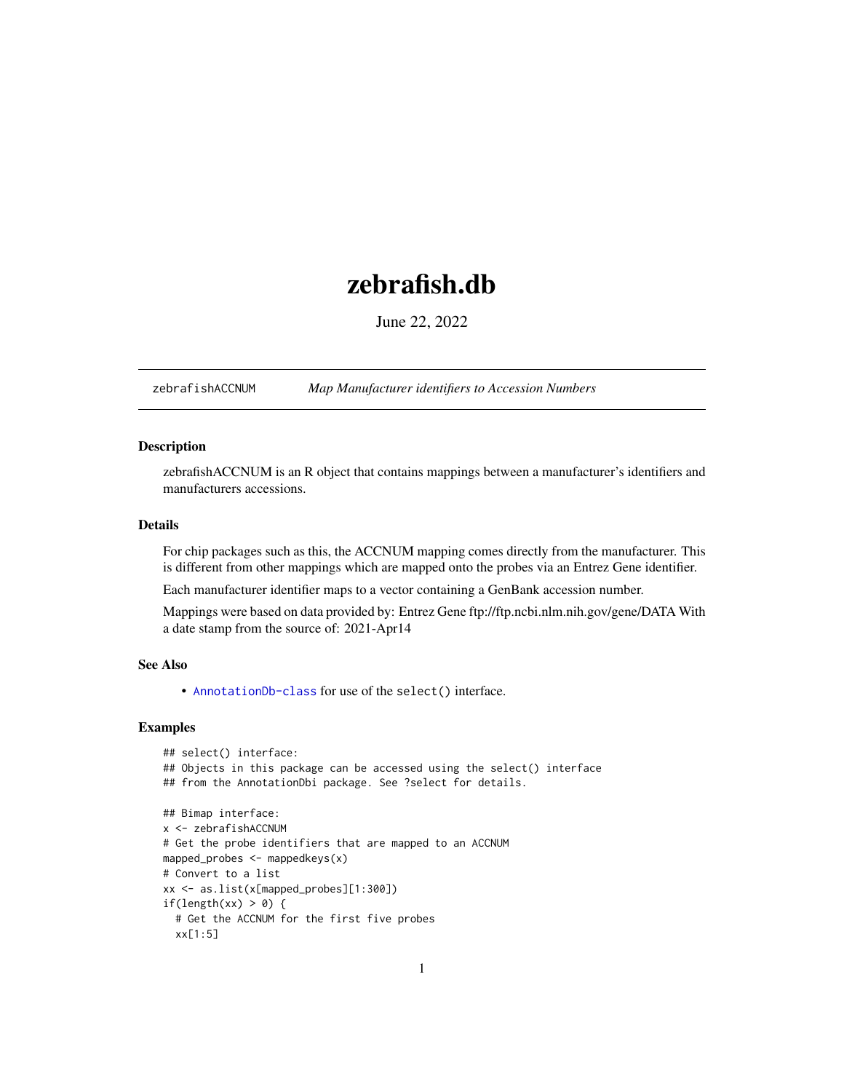## <span id="page-0-1"></span>zebrafish.db

June 22, 2022

<span id="page-0-0"></span>zebrafishACCNUM *Map Manufacturer identifiers to Accession Numbers*

## Description

zebrafishACCNUM is an R object that contains mappings between a manufacturer's identifiers and manufacturers accessions.

## Details

For chip packages such as this, the ACCNUM mapping comes directly from the manufacturer. This is different from other mappings which are mapped onto the probes via an Entrez Gene identifier.

Each manufacturer identifier maps to a vector containing a GenBank accession number.

Mappings were based on data provided by: Entrez Gene ftp://ftp.ncbi.nlm.nih.gov/gene/DATA With a date stamp from the source of: 2021-Apr14

## See Also

• AnnotationDb-class for use of the select() interface.

```
## select() interface:
## Objects in this package can be accessed using the select() interface
## from the AnnotationDbi package. See ?select for details.
## Bimap interface:
x <- zebrafishACCNUM
# Get the probe identifiers that are mapped to an ACCNUM
mapped_probes <- mappedkeys(x)
# Convert to a list
xx <- as.list(x[mapped_probes][1:300])
if(length(xx) > 0) {
 # Get the ACCNUM for the first five probes
 xx[1:5]
```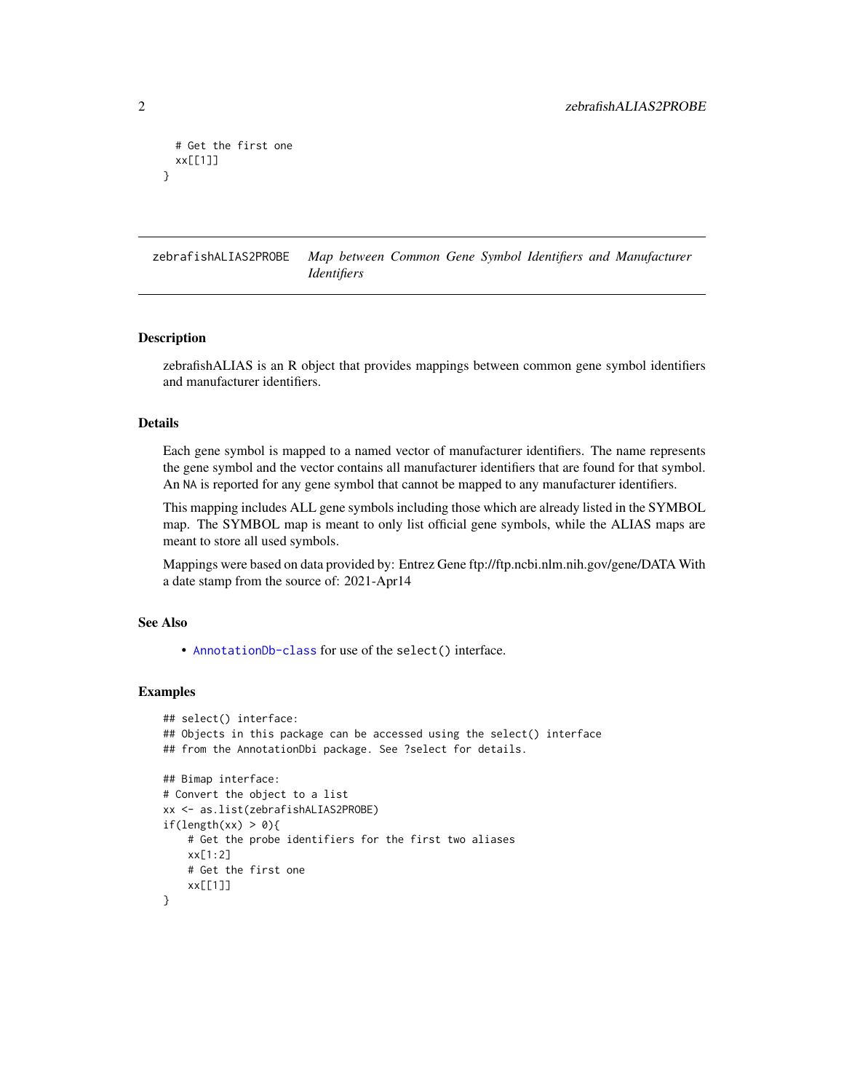```
# Get the first one
 xx[[1]]
}
```
zebrafishALIAS2PROBE *Map between Common Gene Symbol Identifiers and Manufacturer Identifiers*

#### Description

zebrafishALIAS is an R object that provides mappings between common gene symbol identifiers and manufacturer identifiers.

## Details

Each gene symbol is mapped to a named vector of manufacturer identifiers. The name represents the gene symbol and the vector contains all manufacturer identifiers that are found for that symbol. An NA is reported for any gene symbol that cannot be mapped to any manufacturer identifiers.

This mapping includes ALL gene symbols including those which are already listed in the SYMBOL map. The SYMBOL map is meant to only list official gene symbols, while the ALIAS maps are meant to store all used symbols.

Mappings were based on data provided by: Entrez Gene ftp://ftp.ncbi.nlm.nih.gov/gene/DATA With a date stamp from the source of: 2021-Apr14

## See Also

• [AnnotationDb-class](#page-0-0) for use of the select() interface.

```
## select() interface:
## Objects in this package can be accessed using the select() interface
## from the AnnotationDbi package. See ?select for details.
## Bimap interface:
# Convert the object to a list
xx <- as.list(zebrafishALIAS2PROBE)
if(length(xx) > 0){
    # Get the probe identifiers for the first two aliases
   xx[1:2]
   # Get the first one
   xx[[1]]
}
```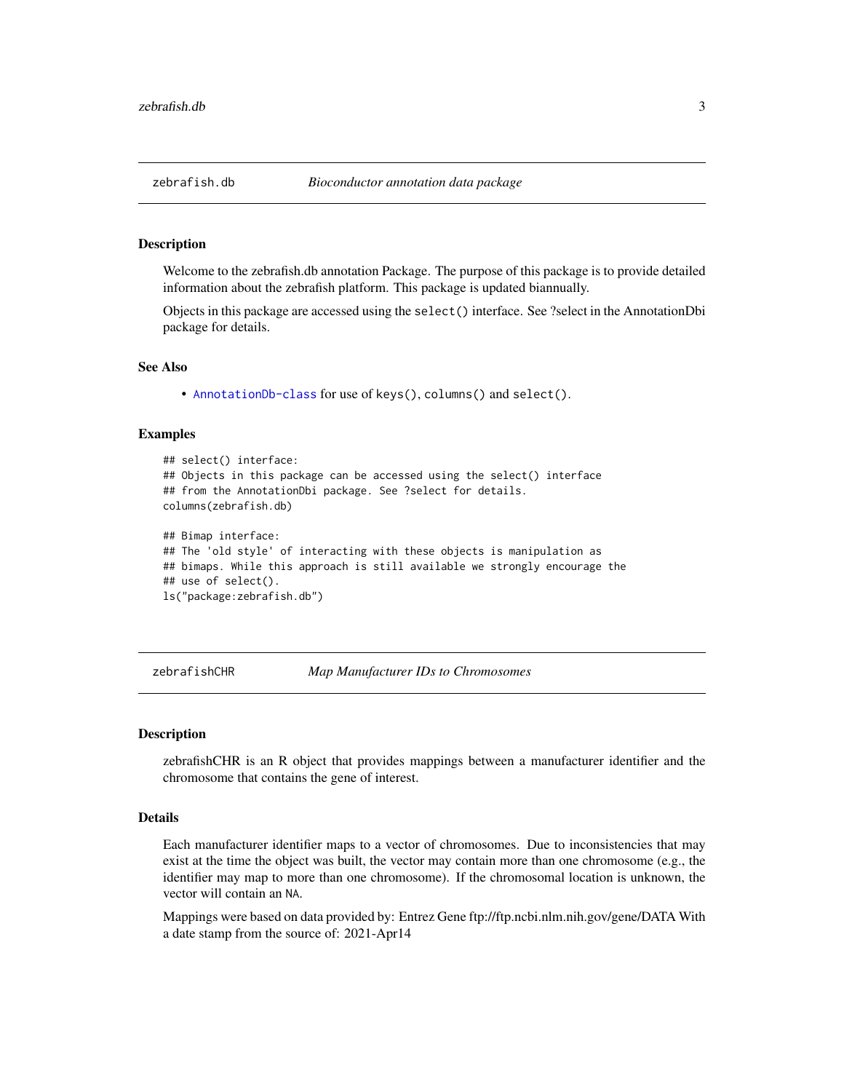<span id="page-2-0"></span>

Welcome to the zebrafish.db annotation Package. The purpose of this package is to provide detailed information about the zebrafish platform. This package is updated biannually.

Objects in this package are accessed using the select() interface. See ?select in the AnnotationDbi package for details.

#### See Also

• [AnnotationDb-class](#page-0-0) for use of keys(), columns() and select().

#### Examples

```
## select() interface:
## Objects in this package can be accessed using the select() interface
## from the AnnotationDbi package. See ?select for details.
columns(zebrafish.db)
## Bimap interface:
## The 'old style' of interacting with these objects is manipulation as
## bimaps. While this approach is still available we strongly encourage the
## use of select().
ls("package:zebrafish.db")
```
zebrafishCHR *Map Manufacturer IDs to Chromosomes*

#### **Description**

zebrafishCHR is an R object that provides mappings between a manufacturer identifier and the chromosome that contains the gene of interest.

## Details

Each manufacturer identifier maps to a vector of chromosomes. Due to inconsistencies that may exist at the time the object was built, the vector may contain more than one chromosome (e.g., the identifier may map to more than one chromosome). If the chromosomal location is unknown, the vector will contain an NA.

Mappings were based on data provided by: Entrez Gene ftp://ftp.ncbi.nlm.nih.gov/gene/DATA With a date stamp from the source of: 2021-Apr14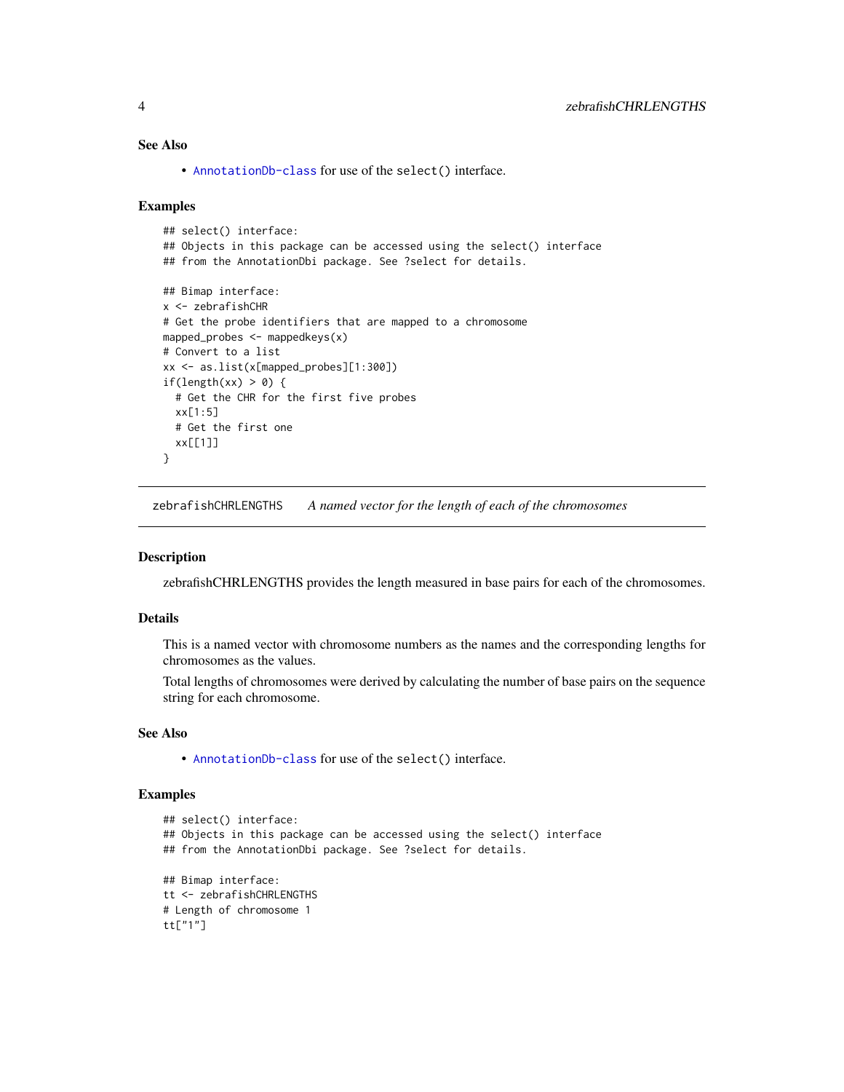## <span id="page-3-0"></span>See Also

• [AnnotationDb-class](#page-0-0) for use of the select() interface.

#### Examples

```
## select() interface:
## Objects in this package can be accessed using the select() interface
## from the AnnotationDbi package. See ?select for details.
## Bimap interface:
x <- zebrafishCHR
# Get the probe identifiers that are mapped to a chromosome
mapped_probes <- mappedkeys(x)
# Convert to a list
xx <- as.list(x[mapped_probes][1:300])
if(length(xx) > 0) {
  # Get the CHR for the first five probes
  xx[1:5]
  # Get the first one
  xx[[1]]
}
```
zebrafishCHRLENGTHS *A named vector for the length of each of the chromosomes*

## Description

zebrafishCHRLENGTHS provides the length measured in base pairs for each of the chromosomes.

#### Details

This is a named vector with chromosome numbers as the names and the corresponding lengths for chromosomes as the values.

Total lengths of chromosomes were derived by calculating the number of base pairs on the sequence string for each chromosome.

## See Also

• [AnnotationDb-class](#page-0-0) for use of the select() interface.

```
## select() interface:
## Objects in this package can be accessed using the select() interface
## from the AnnotationDbi package. See ?select for details.
## Bimap interface:
tt <- zebrafishCHRLENGTHS
# Length of chromosome 1
tt["1"]
```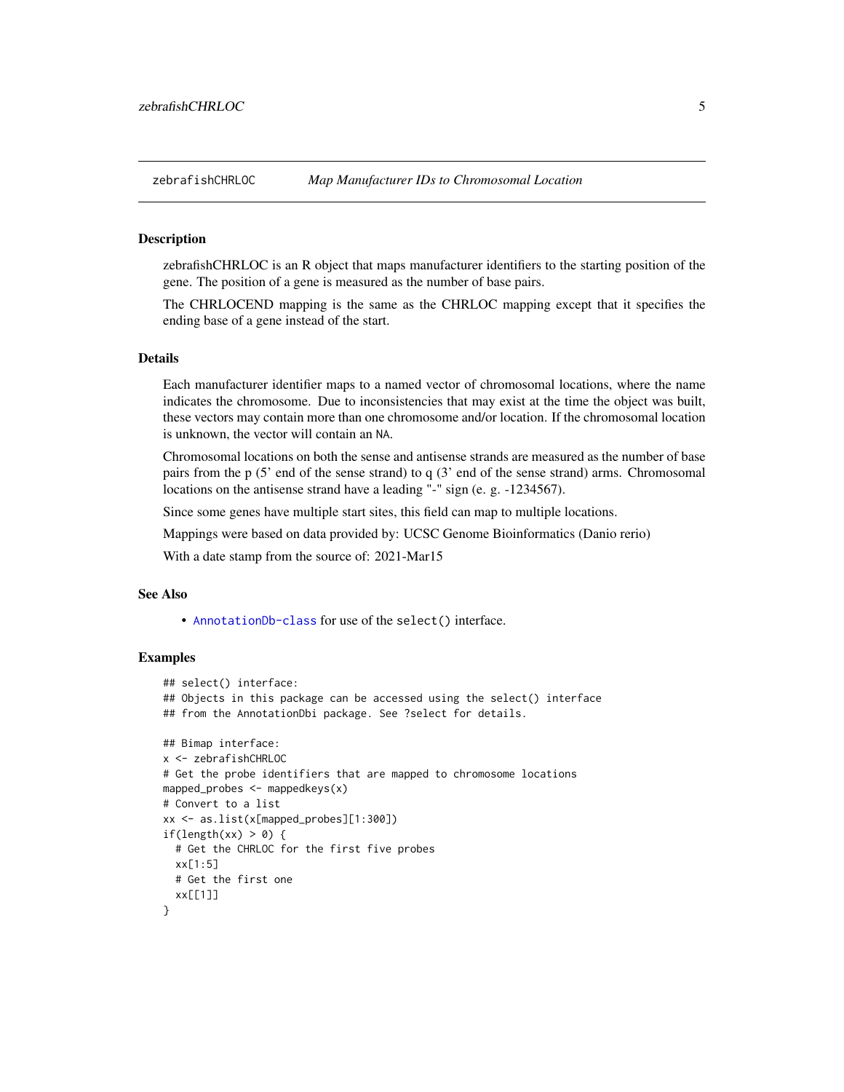<span id="page-4-0"></span>

zebrafishCHRLOC is an R object that maps manufacturer identifiers to the starting position of the gene. The position of a gene is measured as the number of base pairs.

The CHRLOCEND mapping is the same as the CHRLOC mapping except that it specifies the ending base of a gene instead of the start.

## Details

Each manufacturer identifier maps to a named vector of chromosomal locations, where the name indicates the chromosome. Due to inconsistencies that may exist at the time the object was built, these vectors may contain more than one chromosome and/or location. If the chromosomal location is unknown, the vector will contain an NA.

Chromosomal locations on both the sense and antisense strands are measured as the number of base pairs from the p (5' end of the sense strand) to q (3' end of the sense strand) arms. Chromosomal locations on the antisense strand have a leading "-" sign (e. g. -1234567).

Since some genes have multiple start sites, this field can map to multiple locations.

Mappings were based on data provided by: UCSC Genome Bioinformatics (Danio rerio)

With a date stamp from the source of: 2021-Mar15

## See Also

• [AnnotationDb-class](#page-0-0) for use of the select() interface.

```
## select() interface:
## Objects in this package can be accessed using the select() interface
## from the AnnotationDbi package. See ?select for details.
## Bimap interface:
x <- zebrafishCHRLOC
# Get the probe identifiers that are mapped to chromosome locations
mapped_probes <- mappedkeys(x)
# Convert to a list
xx <- as.list(x[mapped_probes][1:300])
if(length(xx) > 0) {
 # Get the CHRLOC for the first five probes
 xx[1:5]
 # Get the first one
 xx[[1]]
}
```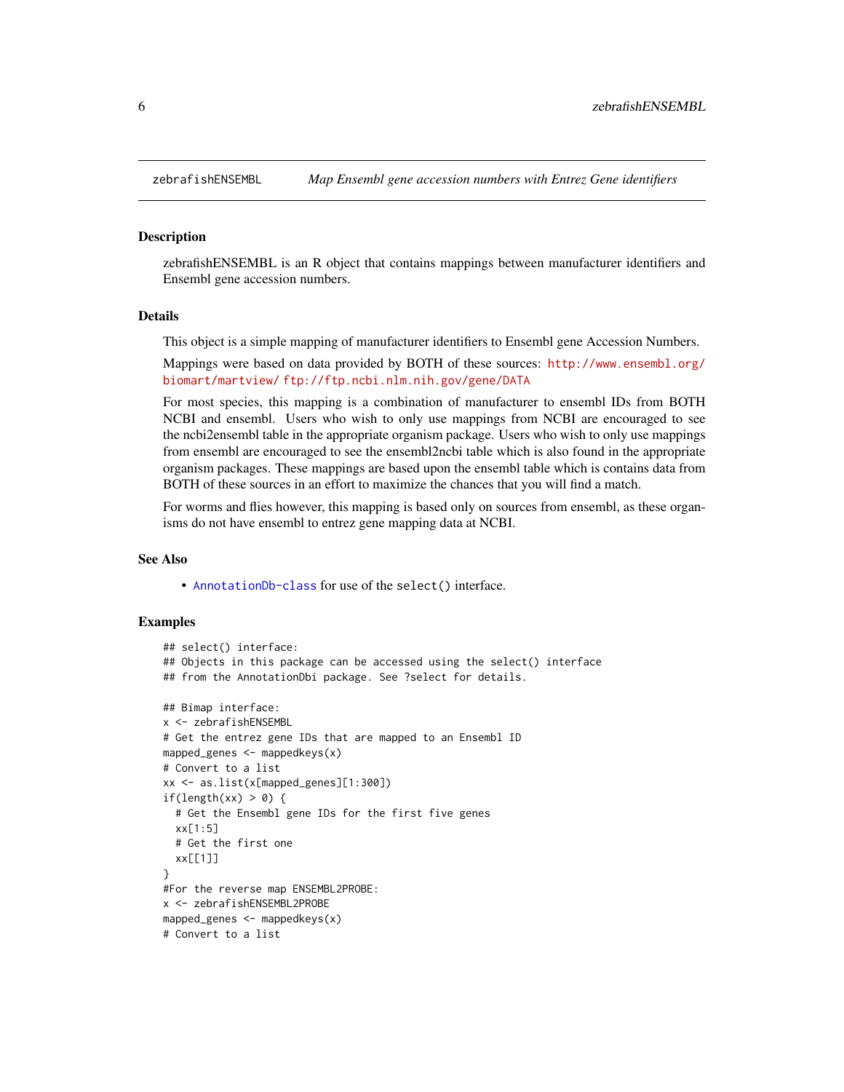<span id="page-5-0"></span>

zebrafishENSEMBL is an R object that contains mappings between manufacturer identifiers and Ensembl gene accession numbers.

#### Details

This object is a simple mapping of manufacturer identifiers to Ensembl gene Accession Numbers.

Mappings were based on data provided by BOTH of these sources: [http://www.ensembl.org/](http://www.ensembl.org/biomart/martview/) [biomart/martview/](http://www.ensembl.org/biomart/martview/) <ftp://ftp.ncbi.nlm.nih.gov/gene/DATA>

For most species, this mapping is a combination of manufacturer to ensembl IDs from BOTH NCBI and ensembl. Users who wish to only use mappings from NCBI are encouraged to see the ncbi2ensembl table in the appropriate organism package. Users who wish to only use mappings from ensembl are encouraged to see the ensembl2ncbi table which is also found in the appropriate organism packages. These mappings are based upon the ensembl table which is contains data from BOTH of these sources in an effort to maximize the chances that you will find a match.

For worms and flies however, this mapping is based only on sources from ensembl, as these organisms do not have ensembl to entrez gene mapping data at NCBI.

## See Also

• [AnnotationDb-class](#page-0-0) for use of the select() interface.

```
## select() interface:
## Objects in this package can be accessed using the select() interface
## from the AnnotationDbi package. See ?select for details.
## Bimap interface:
x <- zebrafishENSEMBL
# Get the entrez gene IDs that are mapped to an Ensembl ID
mapped_genes \leq mappedkeys(x)
# Convert to a list
xx <- as.list(x[mapped_genes][1:300])
if(length(xx) > 0) {
 # Get the Ensembl gene IDs for the first five genes
 xx[1:5]
 # Get the first one
 xx[[1]]
}
#For the reverse map ENSEMBL2PROBE:
x <- zebrafishENSEMBL2PROBE
mapped_genes <- mappedkeys(x)
# Convert to a list
```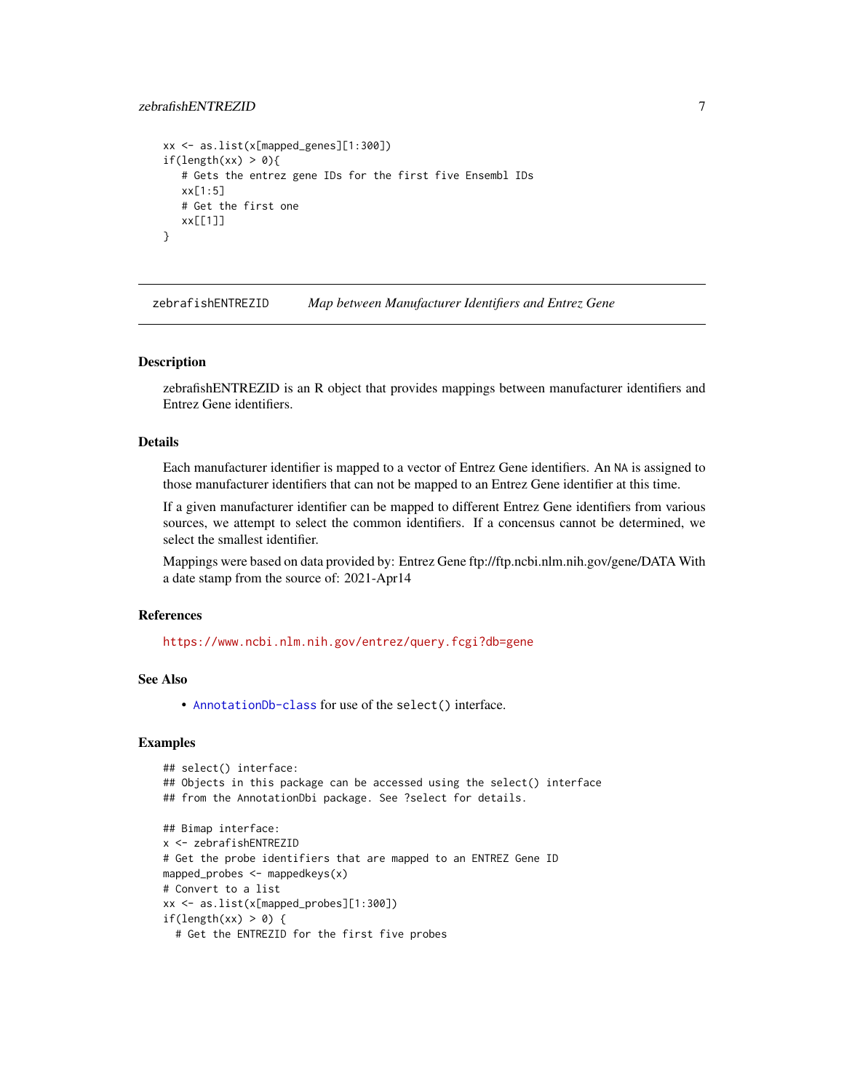## <span id="page-6-0"></span>zebrafishENTREZID 7

```
xx <- as.list(x[mapped_genes][1:300])
if(length(xx) > 0){
   # Gets the entrez gene IDs for the first five Ensembl IDs
  xx[1:5]
  # Get the first one
  xx[[1]]
}
```
zebrafishENTREZID *Map between Manufacturer Identifiers and Entrez Gene*

#### Description

zebrafishENTREZID is an R object that provides mappings between manufacturer identifiers and Entrez Gene identifiers.

## Details

Each manufacturer identifier is mapped to a vector of Entrez Gene identifiers. An NA is assigned to those manufacturer identifiers that can not be mapped to an Entrez Gene identifier at this time.

If a given manufacturer identifier can be mapped to different Entrez Gene identifiers from various sources, we attempt to select the common identifiers. If a concensus cannot be determined, we select the smallest identifier.

Mappings were based on data provided by: Entrez Gene ftp://ftp.ncbi.nlm.nih.gov/gene/DATA With a date stamp from the source of: 2021-Apr14

## References

<https://www.ncbi.nlm.nih.gov/entrez/query.fcgi?db=gene>

## See Also

• [AnnotationDb-class](#page-0-0) for use of the select() interface.

```
## select() interface:
## Objects in this package can be accessed using the select() interface
## from the AnnotationDbi package. See ?select for details.
## Bimap interface:
x <- zebrafishENTREZID
# Get the probe identifiers that are mapped to an ENTREZ Gene ID
mapped_probes <- mappedkeys(x)
# Convert to a list
xx <- as.list(x[mapped_probes][1:300])
if(length(xx) > 0) {
 # Get the ENTREZID for the first five probes
```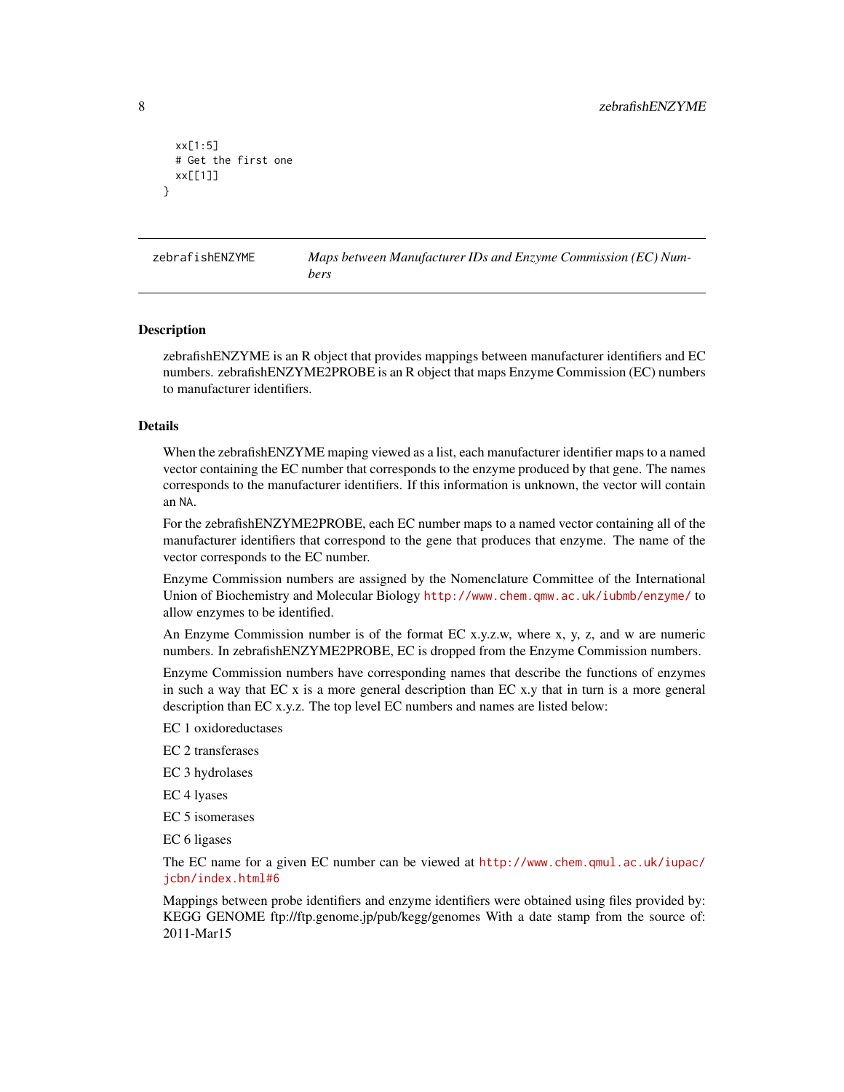```
xx[1:5]
 # Get the first one
 xx[[1]]
}
```
zebrafishENZYME *Maps between Manufacturer IDs and Enzyme Commission (EC) Numbers*

#### Description

zebrafishENZYME is an R object that provides mappings between manufacturer identifiers and EC numbers. zebrafishENZYME2PROBE is an R object that maps Enzyme Commission (EC) numbers to manufacturer identifiers.

#### Details

When the zebrafishENZYME maping viewed as a list, each manufacturer identifier maps to a named vector containing the EC number that corresponds to the enzyme produced by that gene. The names corresponds to the manufacturer identifiers. If this information is unknown, the vector will contain an NA.

For the zebrafishENZYME2PROBE, each EC number maps to a named vector containing all of the manufacturer identifiers that correspond to the gene that produces that enzyme. The name of the vector corresponds to the EC number.

Enzyme Commission numbers are assigned by the Nomenclature Committee of the International Union of Biochemistry and Molecular Biology <http://www.chem.qmw.ac.uk/iubmb/enzyme/> to allow enzymes to be identified.

An Enzyme Commission number is of the format EC x.y.z.w, where x, y, z, and w are numeric numbers. In zebrafishENZYME2PROBE, EC is dropped from the Enzyme Commission numbers.

Enzyme Commission numbers have corresponding names that describe the functions of enzymes in such a way that EC x is a more general description than EC x.y that in turn is a more general description than EC x.y.z. The top level EC numbers and names are listed below:

EC 1 oxidoreductases

EC 2 transferases

EC 3 hydrolases

EC 4 lyases

EC 5 isomerases

EC 6 ligases

The EC name for a given EC number can be viewed at [http://www.chem.qmul.ac.uk/iupac/](http://www.chem.qmul.ac.uk/iupac/jcbn/index.html#6) [jcbn/index.html#6](http://www.chem.qmul.ac.uk/iupac/jcbn/index.html#6)

Mappings between probe identifiers and enzyme identifiers were obtained using files provided by: KEGG GENOME ftp://ftp.genome.jp/pub/kegg/genomes With a date stamp from the source of: 2011-Mar15

<span id="page-7-0"></span>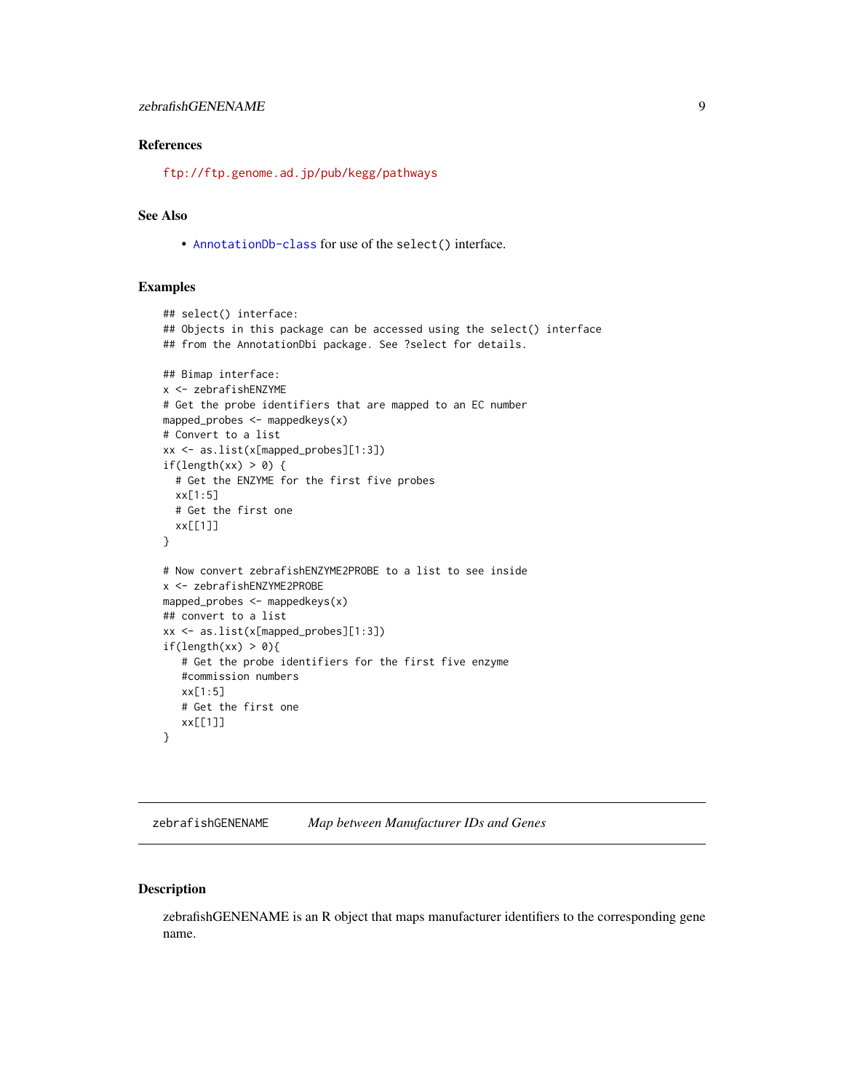#### <span id="page-8-0"></span>References

<ftp://ftp.genome.ad.jp/pub/kegg/pathways>

## See Also

• [AnnotationDb-class](#page-0-0) for use of the select() interface.

#### Examples

```
## select() interface:
## Objects in this package can be accessed using the select() interface
## from the AnnotationDbi package. See ?select for details.
## Bimap interface:
x <- zebrafishENZYME
# Get the probe identifiers that are mapped to an EC number
mapped_probes <- mappedkeys(x)
# Convert to a list
xx <- as.list(x[mapped_probes][1:3])
if(length(xx) > 0) {
  # Get the ENZYME for the first five probes
  xx[1:5]
  # Get the first one
  xx[[1]]
}
# Now convert zebrafishENZYME2PROBE to a list to see inside
x <- zebrafishENZYME2PROBE
mapped_probes \leq mappedkeys(x)
## convert to a list
xx <- as.list(x[mapped_probes][1:3])
if(length(xx) > 0){
   # Get the probe identifiers for the first five enzyme
   #commission numbers
   xx[1:5]
   # Get the first one
  xx[[1]]
}
```
zebrafishGENENAME *Map between Manufacturer IDs and Genes*

## Description

zebrafishGENENAME is an R object that maps manufacturer identifiers to the corresponding gene name.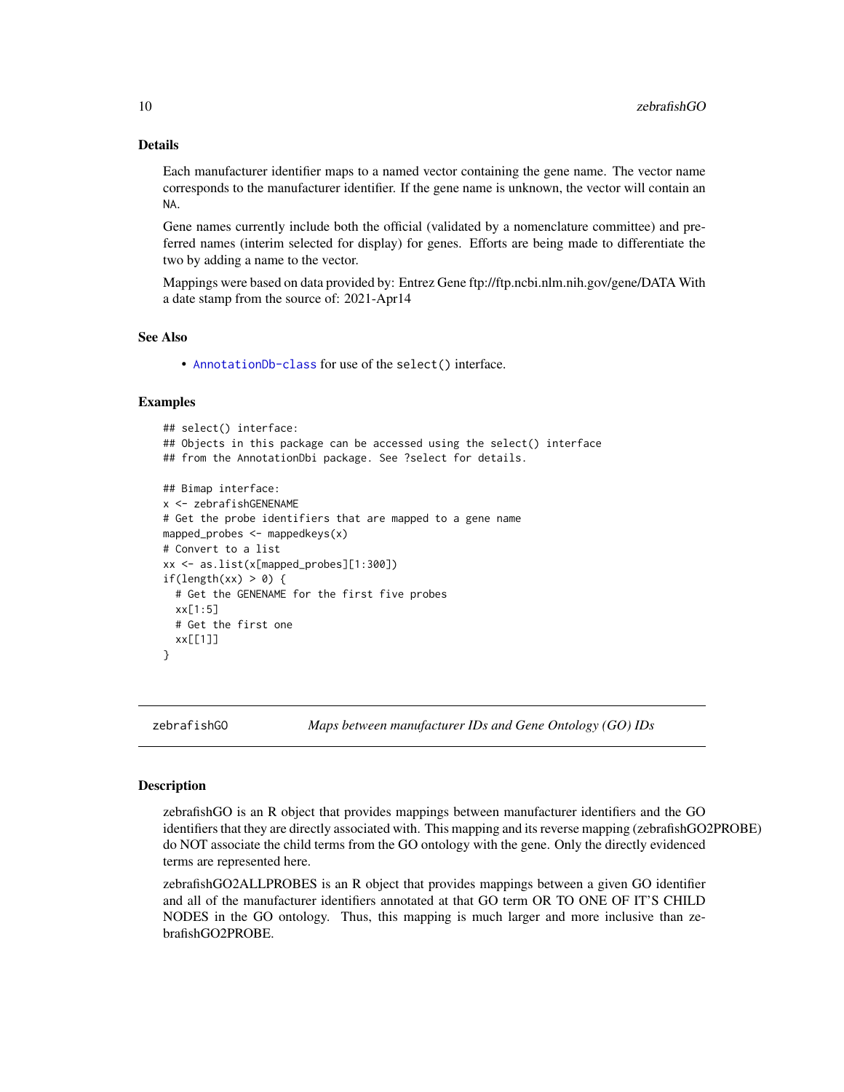## Details

Each manufacturer identifier maps to a named vector containing the gene name. The vector name corresponds to the manufacturer identifier. If the gene name is unknown, the vector will contain an NA.

Gene names currently include both the official (validated by a nomenclature committee) and preferred names (interim selected for display) for genes. Efforts are being made to differentiate the two by adding a name to the vector.

Mappings were based on data provided by: Entrez Gene ftp://ftp.ncbi.nlm.nih.gov/gene/DATA With a date stamp from the source of: 2021-Apr14

#### See Also

• [AnnotationDb-class](#page-0-0) for use of the select() interface.

## Examples

```
## select() interface:
## Objects in this package can be accessed using the select() interface
## from the AnnotationDbi package. See ?select for details.
## Bimap interface:
x <- zebrafishGENENAME
# Get the probe identifiers that are mapped to a gene name
mapped_probes \leq mappedkeys(x)
# Convert to a list
xx <- as.list(x[mapped_probes][1:300])
if(length(xx) > 0) {
  # Get the GENENAME for the first five probes
  xx[1:5]
  # Get the first one
  xx[[1]]
}
```
zebrafishGO *Maps between manufacturer IDs and Gene Ontology (GO) IDs*

#### <span id="page-9-0"></span>**Description**

zebrafishGO is an R object that provides mappings between manufacturer identifiers and the GO identifiers that they are directly associated with. This mapping and its reverse mapping (zebrafishGO2PROBE) do NOT associate the child terms from the GO ontology with the gene. Only the directly evidenced terms are represented here.

zebrafishGO2ALLPROBES is an R object that provides mappings between a given GO identifier and all of the manufacturer identifiers annotated at that GO term OR TO ONE OF IT'S CHILD NODES in the GO ontology. Thus, this mapping is much larger and more inclusive than zebrafishGO2PROBE.

<span id="page-9-1"></span>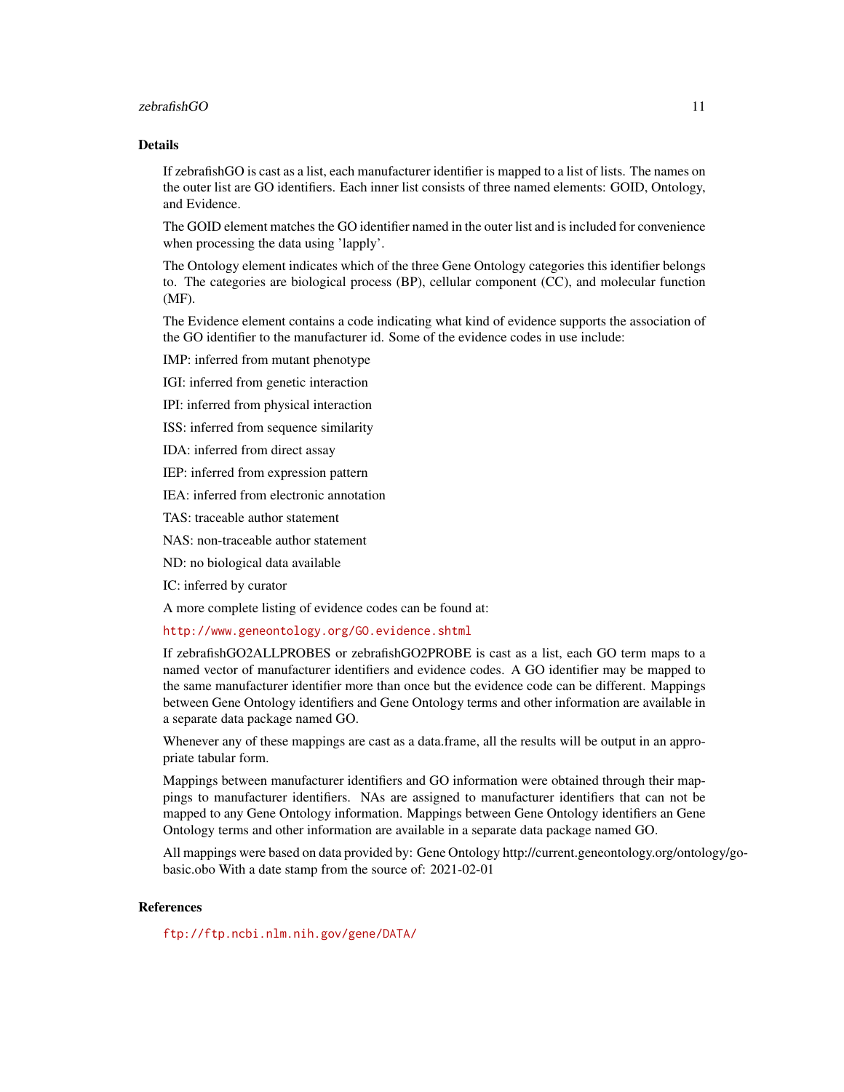#### zebrafishGO 11

## Details

If zebrafishGO is cast as a list, each manufacturer identifier is mapped to a list of lists. The names on the outer list are GO identifiers. Each inner list consists of three named elements: GOID, Ontology, and Evidence.

The GOID element matches the GO identifier named in the outer list and is included for convenience when processing the data using 'lapply'.

The Ontology element indicates which of the three Gene Ontology categories this identifier belongs to. The categories are biological process (BP), cellular component (CC), and molecular function (MF).

The Evidence element contains a code indicating what kind of evidence supports the association of the GO identifier to the manufacturer id. Some of the evidence codes in use include:

IMP: inferred from mutant phenotype

IGI: inferred from genetic interaction

IPI: inferred from physical interaction

ISS: inferred from sequence similarity

IDA: inferred from direct assay

IEP: inferred from expression pattern

IEA: inferred from electronic annotation

TAS: traceable author statement

NAS: non-traceable author statement

ND: no biological data available

IC: inferred by curator

A more complete listing of evidence codes can be found at:

<http://www.geneontology.org/GO.evidence.shtml>

If zebrafishGO2ALLPROBES or zebrafishGO2PROBE is cast as a list, each GO term maps to a named vector of manufacturer identifiers and evidence codes. A GO identifier may be mapped to the same manufacturer identifier more than once but the evidence code can be different. Mappings between Gene Ontology identifiers and Gene Ontology terms and other information are available in a separate data package named GO.

Whenever any of these mappings are cast as a data.frame, all the results will be output in an appropriate tabular form.

Mappings between manufacturer identifiers and GO information were obtained through their mappings to manufacturer identifiers. NAs are assigned to manufacturer identifiers that can not be mapped to any Gene Ontology information. Mappings between Gene Ontology identifiers an Gene Ontology terms and other information are available in a separate data package named GO.

All mappings were based on data provided by: Gene Ontology http://current.geneontology.org/ontology/gobasic.obo With a date stamp from the source of: 2021-02-01

## References

<ftp://ftp.ncbi.nlm.nih.gov/gene/DATA/>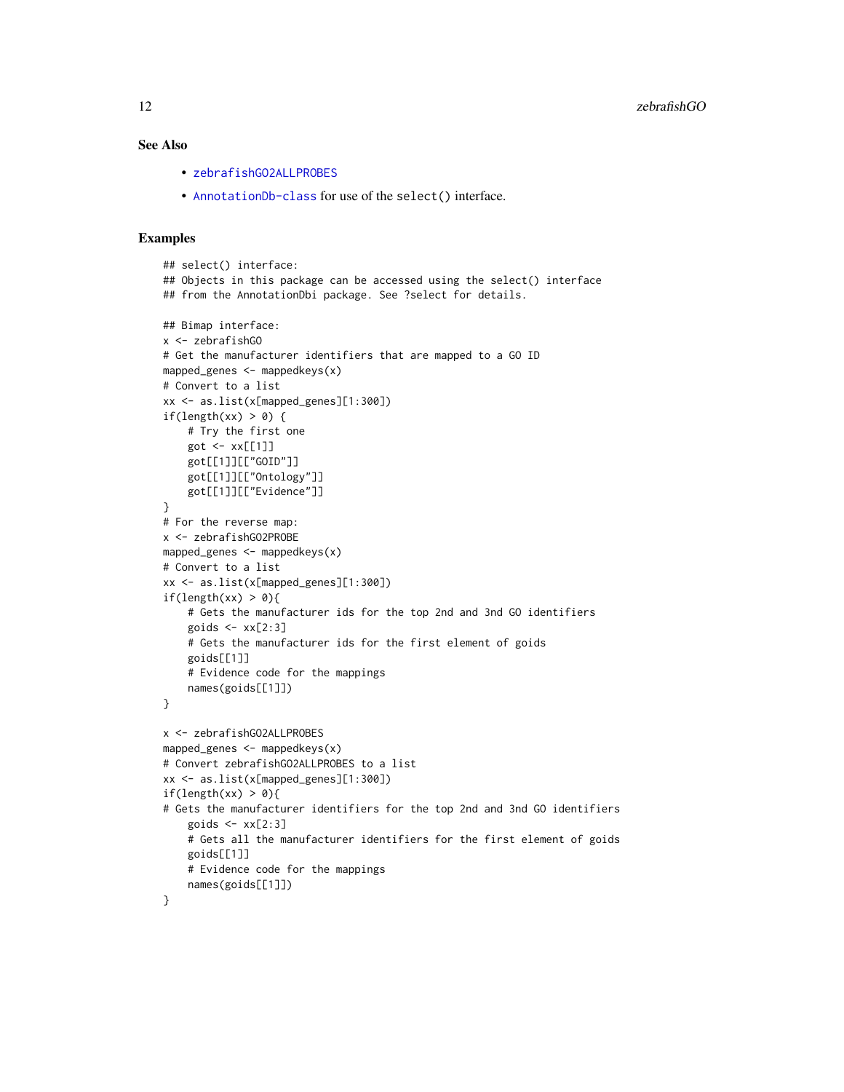## <span id="page-11-0"></span>See Also

- [zebrafishGO2ALLPROBES](#page-9-0)
- [AnnotationDb-class](#page-0-0) for use of the select() interface.

```
## select() interface:
## Objects in this package can be accessed using the select() interface
## from the AnnotationDbi package. See ?select for details.
## Bimap interface:
x <- zebrafishGO
# Get the manufacturer identifiers that are mapped to a GO ID
mapped_genes <- mappedkeys(x)
# Convert to a list
xx <- as.list(x[mapped_genes][1:300])
if(length(xx) > 0) {
    # Try the first one
   got \leq -xx[[1]]got[[1]][["GOID"]]
    got[[1]][["Ontology"]]
    got[[1]][["Evidence"]]
}
# For the reverse map:
x <- zebrafishGO2PROBE
mapped_genes <- mappedkeys(x)
# Convert to a list
xx <- as.list(x[mapped_genes][1:300])
if(length(xx) > 0){
    # Gets the manufacturer ids for the top 2nd and 3nd GO identifiers
    goids \leq -x \times [2:3]# Gets the manufacturer ids for the first element of goids
    goids[[1]]
    # Evidence code for the mappings
   names(goids[[1]])
}
x <- zebrafishGO2ALLPROBES
mapped_genes <- mappedkeys(x)
# Convert zebrafishGO2ALLPROBES to a list
xx <- as.list(x[mapped_genes][1:300])
if(length(xx) > 0){
# Gets the manufacturer identifiers for the top 2nd and 3nd GO identifiers
    goids \leq -x \times [2:3]# Gets all the manufacturer identifiers for the first element of goids
   goids[[1]]
    # Evidence code for the mappings
    names(goids[[1]])
}
```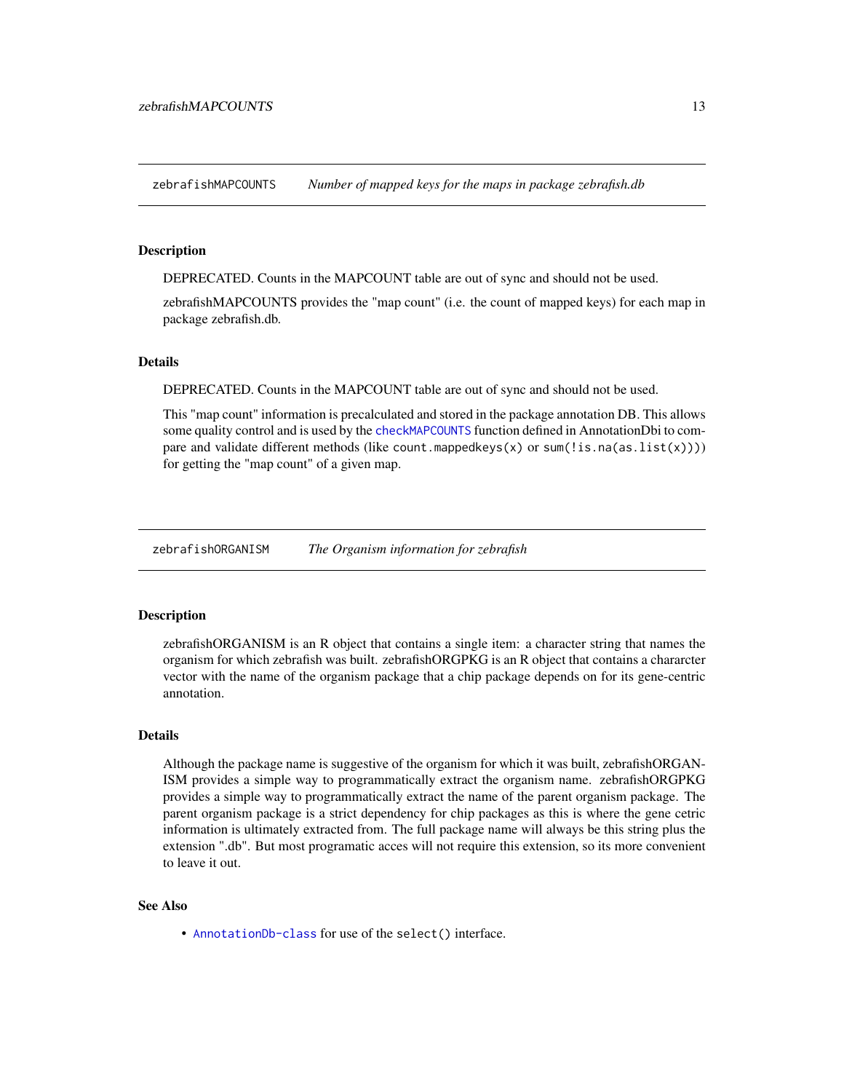<span id="page-12-0"></span>zebrafishMAPCOUNTS *Number of mapped keys for the maps in package zebrafish.db*

#### Description

DEPRECATED. Counts in the MAPCOUNT table are out of sync and should not be used.

zebrafishMAPCOUNTS provides the "map count" (i.e. the count of mapped keys) for each map in package zebrafish.db.

#### **Details**

DEPRECATED. Counts in the MAPCOUNT table are out of sync and should not be used.

This "map count" information is precalculated and stored in the package annotation DB. This allows some quality control and is used by the [checkMAPCOUNTS](#page-0-0) function defined in AnnotationDbi to compare and validate different methods (like count.mappedkeys $(x)$  or sum(!is.na(as.list(x)))) for getting the "map count" of a given map.

zebrafishORGANISM *The Organism information for zebrafish*

#### Description

zebrafishORGANISM is an R object that contains a single item: a character string that names the organism for which zebrafish was built. zebrafishORGPKG is an R object that contains a chararcter vector with the name of the organism package that a chip package depends on for its gene-centric annotation.

## Details

Although the package name is suggestive of the organism for which it was built, zebrafishORGAN-ISM provides a simple way to programmatically extract the organism name. zebrafishORGPKG provides a simple way to programmatically extract the name of the parent organism package. The parent organism package is a strict dependency for chip packages as this is where the gene cetric information is ultimately extracted from. The full package name will always be this string plus the extension ".db". But most programatic acces will not require this extension, so its more convenient to leave it out.

#### See Also

• [AnnotationDb-class](#page-0-0) for use of the select() interface.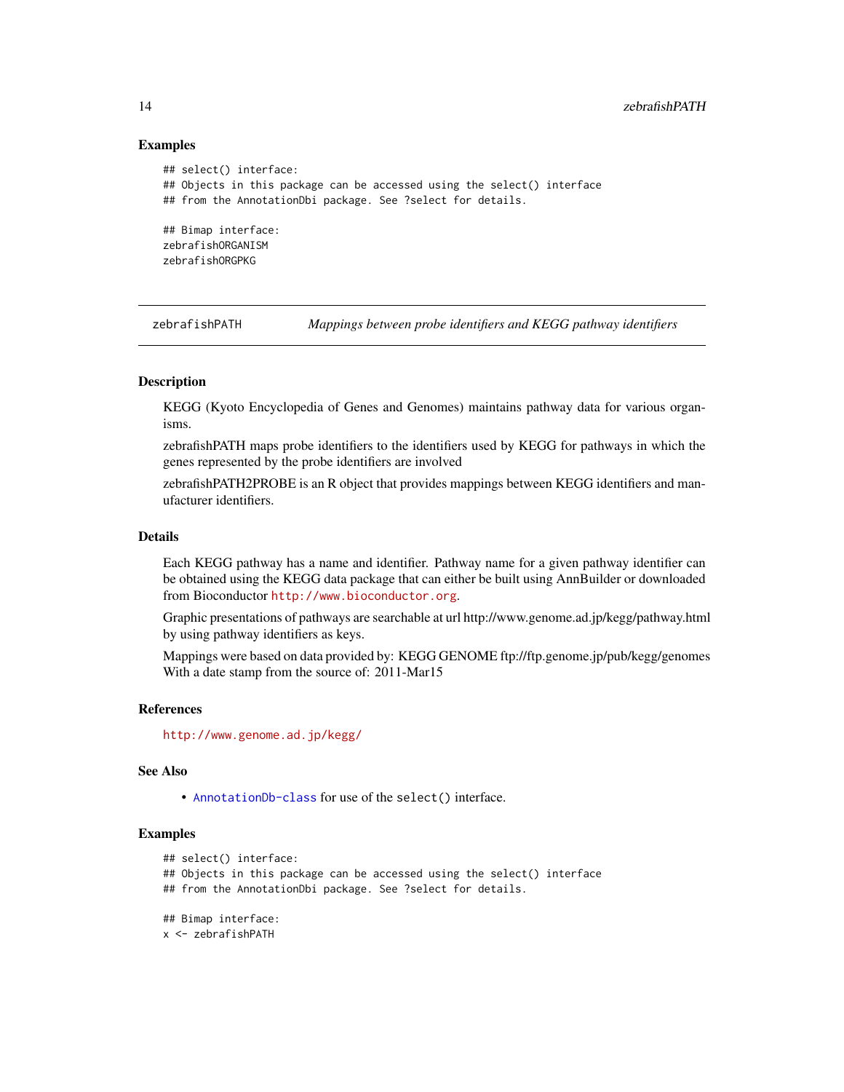#### Examples

```
## select() interface:
## Objects in this package can be accessed using the select() interface
## from the AnnotationDbi package. See ?select for details.
## Bimap interface:
zebrafishORGANISM
zebrafishORGPKG
```
zebrafishPATH *Mappings between probe identifiers and KEGG pathway identifiers*

#### Description

KEGG (Kyoto Encyclopedia of Genes and Genomes) maintains pathway data for various organisms.

zebrafishPATH maps probe identifiers to the identifiers used by KEGG for pathways in which the genes represented by the probe identifiers are involved

zebrafishPATH2PROBE is an R object that provides mappings between KEGG identifiers and manufacturer identifiers.

## Details

Each KEGG pathway has a name and identifier. Pathway name for a given pathway identifier can be obtained using the KEGG data package that can either be built using AnnBuilder or downloaded from Bioconductor <http://www.bioconductor.org>.

Graphic presentations of pathways are searchable at url http://www.genome.ad.jp/kegg/pathway.html by using pathway identifiers as keys.

Mappings were based on data provided by: KEGG GENOME ftp://ftp.genome.jp/pub/kegg/genomes With a date stamp from the source of: 2011-Mar15

#### References

<http://www.genome.ad.jp/kegg/>

#### See Also

• [AnnotationDb-class](#page-0-0) for use of the select() interface.

```
## select() interface:
## Objects in this package can be accessed using the select() interface
## from the AnnotationDbi package. See ?select for details.
## Bimap interface:
x <- zebrafishPATH
```
<span id="page-13-0"></span>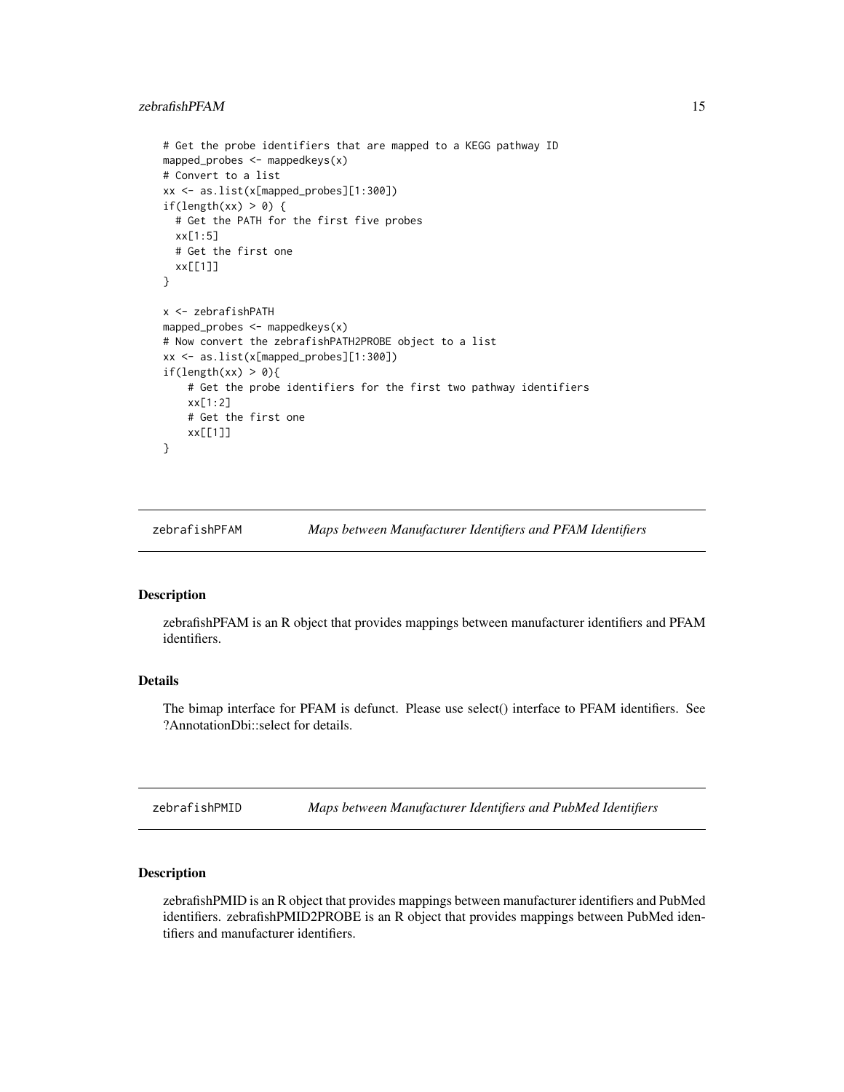## <span id="page-14-0"></span>zebrafishPFAM 15

```
# Get the probe identifiers that are mapped to a KEGG pathway ID
mapped_probes <- mappedkeys(x)
# Convert to a list
xx <- as.list(x[mapped_probes][1:300])
if(length(xx) > 0) {
 # Get the PATH for the first five probes
 xx[1:5]
 # Get the first one
 xx[[1]]
}
x <- zebrafishPATH
mapped_probes <- mappedkeys(x)
# Now convert the zebrafishPATH2PROBE object to a list
xx <- as.list(x[mapped_probes][1:300])
if(length(xx) > 0){
    # Get the probe identifiers for the first two pathway identifiers
   xx[1:2]
   # Get the first one
   xx[[1]]
}
```
zebrafishPFAM *Maps between Manufacturer Identifiers and PFAM Identifiers*

#### Description

zebrafishPFAM is an R object that provides mappings between manufacturer identifiers and PFAM identifiers.

## Details

The bimap interface for PFAM is defunct. Please use select() interface to PFAM identifiers. See ?AnnotationDbi::select for details.

zebrafishPMID *Maps between Manufacturer Identifiers and PubMed Identifiers*

#### Description

zebrafishPMID is an R object that provides mappings between manufacturer identifiers and PubMed identifiers. zebrafishPMID2PROBE is an R object that provides mappings between PubMed identifiers and manufacturer identifiers.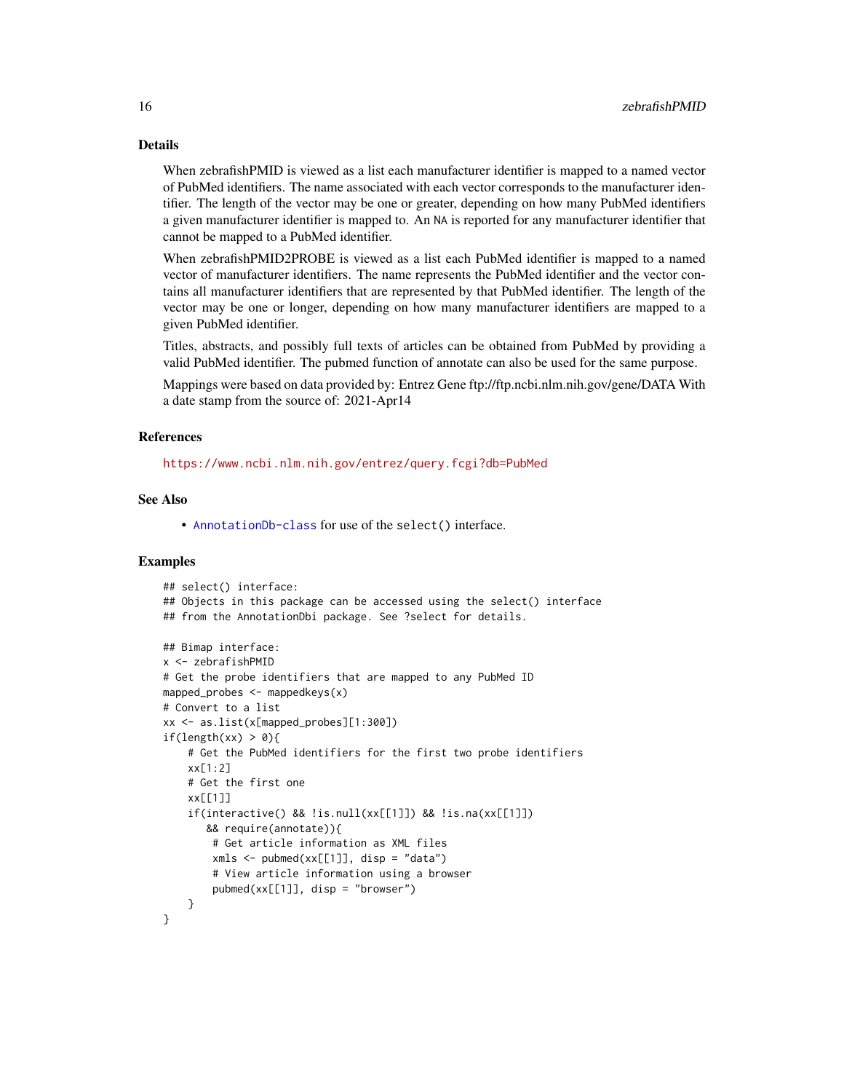## Details

When zebrafishPMID is viewed as a list each manufacturer identifier is mapped to a named vector of PubMed identifiers. The name associated with each vector corresponds to the manufacturer identifier. The length of the vector may be one or greater, depending on how many PubMed identifiers a given manufacturer identifier is mapped to. An NA is reported for any manufacturer identifier that cannot be mapped to a PubMed identifier.

When zebrafishPMID2PROBE is viewed as a list each PubMed identifier is mapped to a named vector of manufacturer identifiers. The name represents the PubMed identifier and the vector contains all manufacturer identifiers that are represented by that PubMed identifier. The length of the vector may be one or longer, depending on how many manufacturer identifiers are mapped to a given PubMed identifier.

Titles, abstracts, and possibly full texts of articles can be obtained from PubMed by providing a valid PubMed identifier. The pubmed function of annotate can also be used for the same purpose.

Mappings were based on data provided by: Entrez Gene ftp://ftp.ncbi.nlm.nih.gov/gene/DATA With a date stamp from the source of: 2021-Apr14

#### References

<https://www.ncbi.nlm.nih.gov/entrez/query.fcgi?db=PubMed>

## See Also

• [AnnotationDb-class](#page-0-0) for use of the select() interface.

```
## select() interface:
## Objects in this package can be accessed using the select() interface
## from the AnnotationDbi package. See ?select for details.
## Bimap interface:
x <- zebrafishPMID
# Get the probe identifiers that are mapped to any PubMed ID
mapped_probes \leq mappedkeys(x)
# Convert to a list
xx <- as.list(x[mapped_probes][1:300])
if(length(xx) > 0)# Get the PubMed identifiers for the first two probe identifiers
    xx[1:2]
    # Get the first one
    xx[[1]]
    if(interactive() && !is.null(xx[[1]]) && !is.na(xx[[1]])
       && require(annotate)){
        # Get article information as XML files
        xmls < -pubmed(xx[[1]], disp = "data")# View article information using a browser
        pubmed(xx[[1]], disp = "browser")
    }
}
```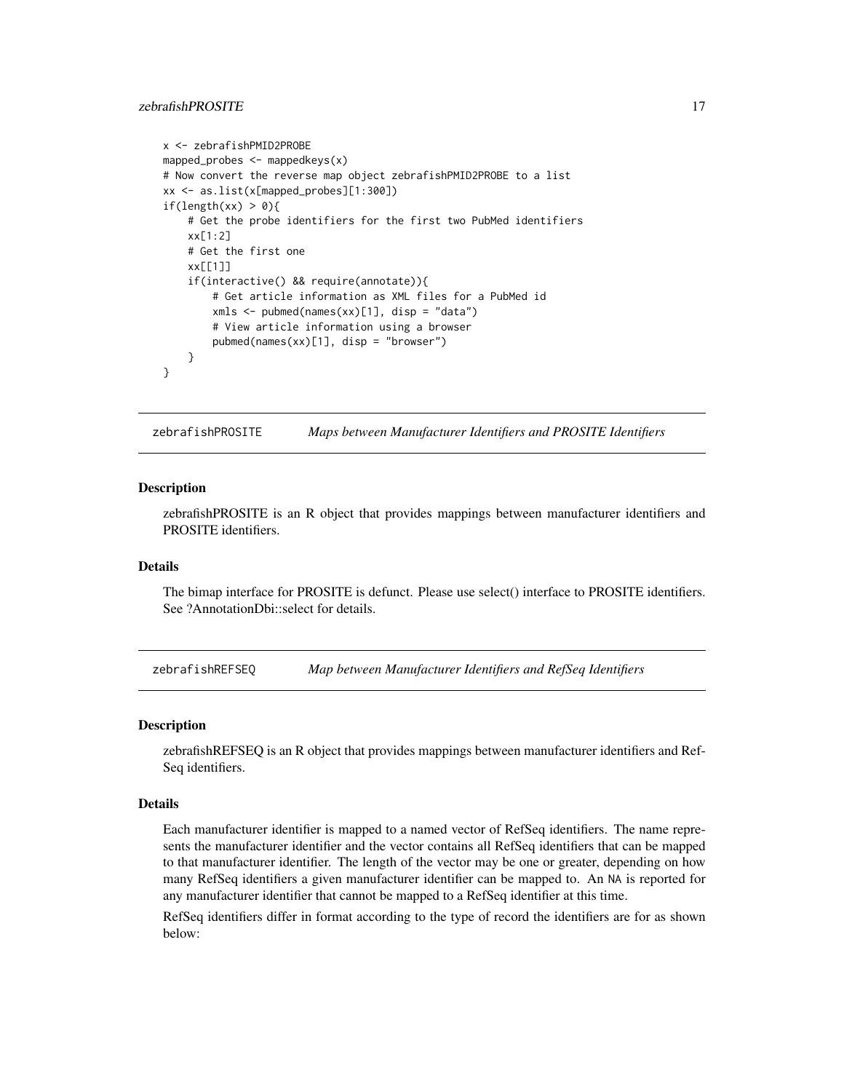## <span id="page-16-0"></span>zebrafishPROSITE 17

```
x <- zebrafishPMID2PROBE
mapped_probes <- mappedkeys(x)
# Now convert the reverse map object zebrafishPMID2PROBE to a list
xx <- as.list(x[mapped_probes][1:300])
if(length(xx) > 0){
    # Get the probe identifiers for the first two PubMed identifiers
    xx[1:2]
    # Get the first one
   xx[[1]]
    if(interactive() && require(annotate)){
       # Get article information as XML files for a PubMed id
       xmls <- pubmed(names(xx)[1], disp = "data")
       # View article information using a browser
       pubmed(names(xx)[1], disp = "browser")
   }
}
```
zebrafishPROSITE *Maps between Manufacturer Identifiers and PROSITE Identifiers*

#### **Description**

zebrafishPROSITE is an R object that provides mappings between manufacturer identifiers and PROSITE identifiers.

## Details

The bimap interface for PROSITE is defunct. Please use select() interface to PROSITE identifiers. See ?AnnotationDbi::select for details.

zebrafishREFSEQ *Map between Manufacturer Identifiers and RefSeq Identifiers*

#### Description

zebrafishREFSEQ is an R object that provides mappings between manufacturer identifiers and Ref-Seq identifiers.

#### Details

Each manufacturer identifier is mapped to a named vector of RefSeq identifiers. The name represents the manufacturer identifier and the vector contains all RefSeq identifiers that can be mapped to that manufacturer identifier. The length of the vector may be one or greater, depending on how many RefSeq identifiers a given manufacturer identifier can be mapped to. An NA is reported for any manufacturer identifier that cannot be mapped to a RefSeq identifier at this time.

RefSeq identifiers differ in format according to the type of record the identifiers are for as shown below: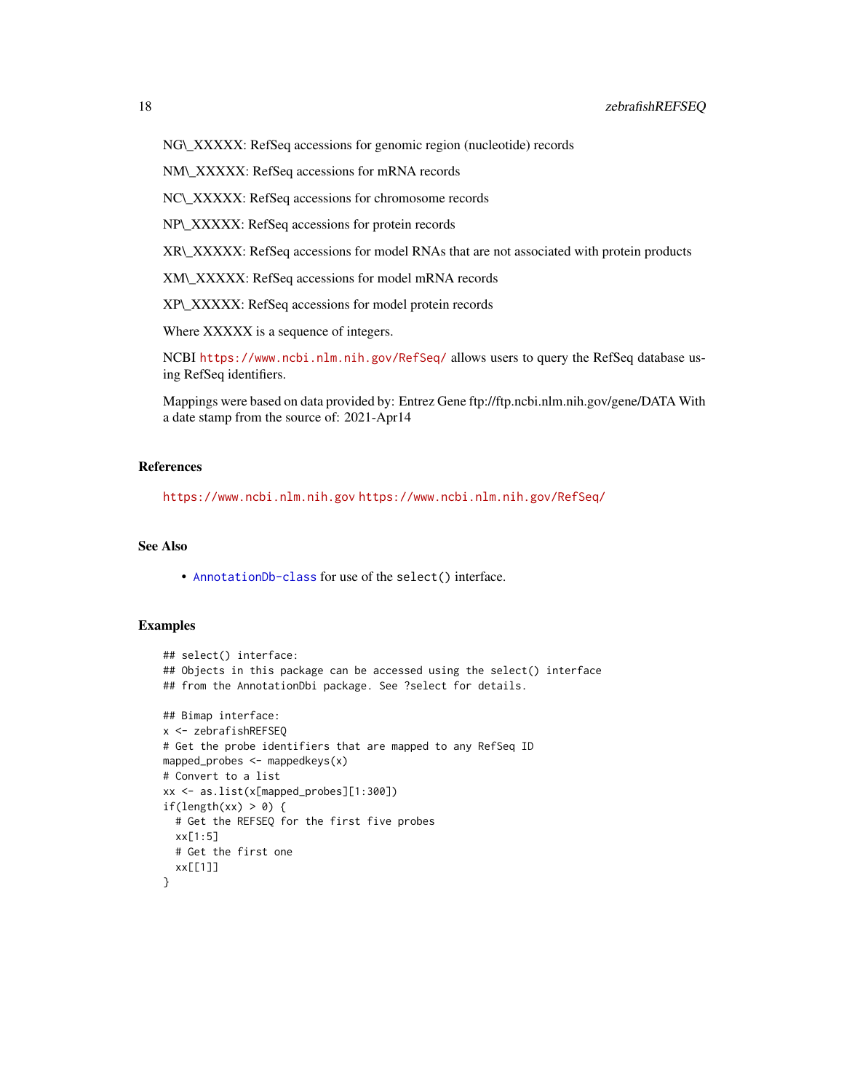NG\\_XXXXX: RefSeq accessions for genomic region (nucleotide) records

NM\\_XXXXX: RefSeq accessions for mRNA records

NC\\_XXXXX: RefSeq accessions for chromosome records

NP\\_XXXXX: RefSeq accessions for protein records

XR\\_XXXXX: RefSeq accessions for model RNAs that are not associated with protein products

XM\\_XXXXX: RefSeq accessions for model mRNA records

XP\\_XXXXX: RefSeq accessions for model protein records

Where XXXXX is a sequence of integers.

NCBI <https://www.ncbi.nlm.nih.gov/RefSeq/> allows users to query the RefSeq database using RefSeq identifiers.

Mappings were based on data provided by: Entrez Gene ftp://ftp.ncbi.nlm.nih.gov/gene/DATA With a date stamp from the source of: 2021-Apr14

## References

<https://www.ncbi.nlm.nih.gov> <https://www.ncbi.nlm.nih.gov/RefSeq/>

## See Also

• [AnnotationDb-class](#page-0-0) for use of the select() interface.

```
## select() interface:
## Objects in this package can be accessed using the select() interface
## from the AnnotationDbi package. See ?select for details.
## Bimap interface:
x <- zebrafishREFSEQ
# Get the probe identifiers that are mapped to any RefSeq ID
mapped_probes \leq mappedkeys(x)
# Convert to a list
xx <- as.list(x[mapped_probes][1:300])
if(length(xx) > 0) {
  # Get the REFSEQ for the first five probes
  xx[1:5]
  # Get the first one
  xx[[1]]
}
```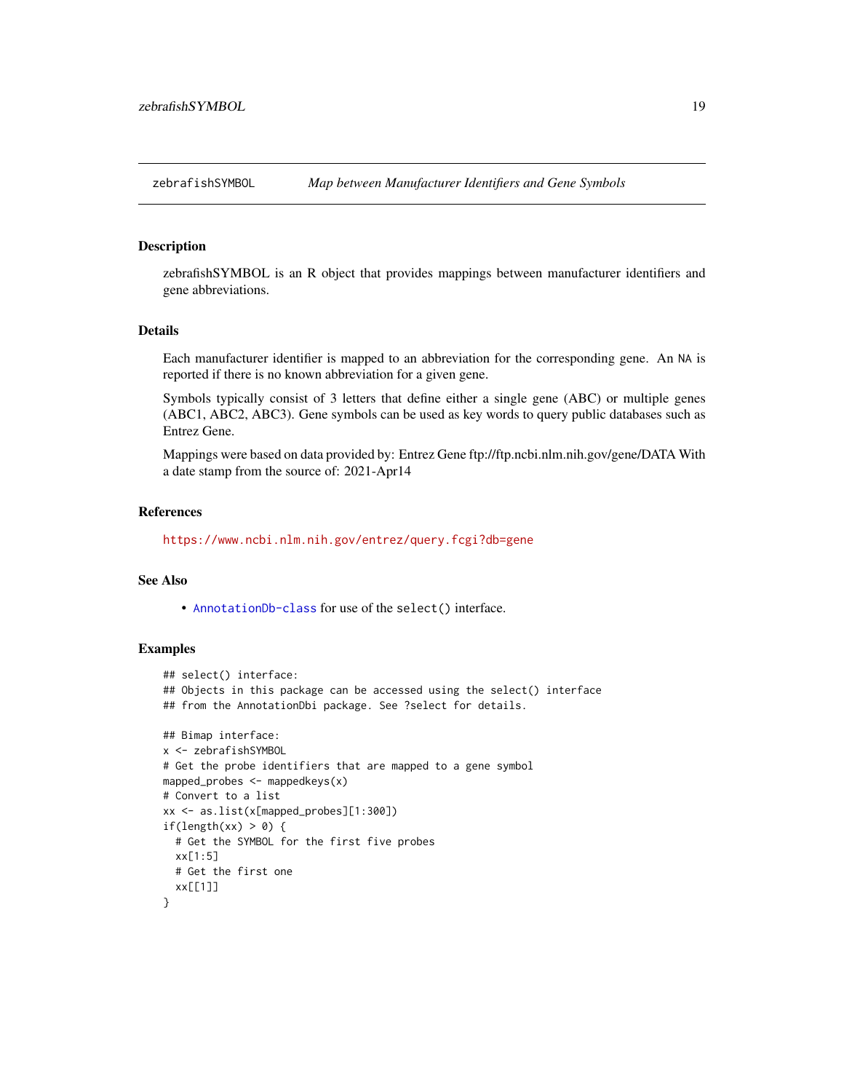<span id="page-18-0"></span>

zebrafishSYMBOL is an R object that provides mappings between manufacturer identifiers and gene abbreviations.

## Details

Each manufacturer identifier is mapped to an abbreviation for the corresponding gene. An NA is reported if there is no known abbreviation for a given gene.

Symbols typically consist of 3 letters that define either a single gene (ABC) or multiple genes (ABC1, ABC2, ABC3). Gene symbols can be used as key words to query public databases such as Entrez Gene.

Mappings were based on data provided by: Entrez Gene ftp://ftp.ncbi.nlm.nih.gov/gene/DATA With a date stamp from the source of: 2021-Apr14

#### References

<https://www.ncbi.nlm.nih.gov/entrez/query.fcgi?db=gene>

#### See Also

• [AnnotationDb-class](#page-0-0) for use of the select() interface.

```
## select() interface:
## Objects in this package can be accessed using the select() interface
## from the AnnotationDbi package. See ?select for details.
## Bimap interface:
x <- zebrafishSYMBOL
# Get the probe identifiers that are mapped to a gene symbol
mapped_probes <- mappedkeys(x)
# Convert to a list
xx <- as.list(x[mapped_probes][1:300])
if(length(xx) > 0) {
  # Get the SYMBOL for the first five probes
  xx[1:5]
  # Get the first one
  xx[[1]]
}
```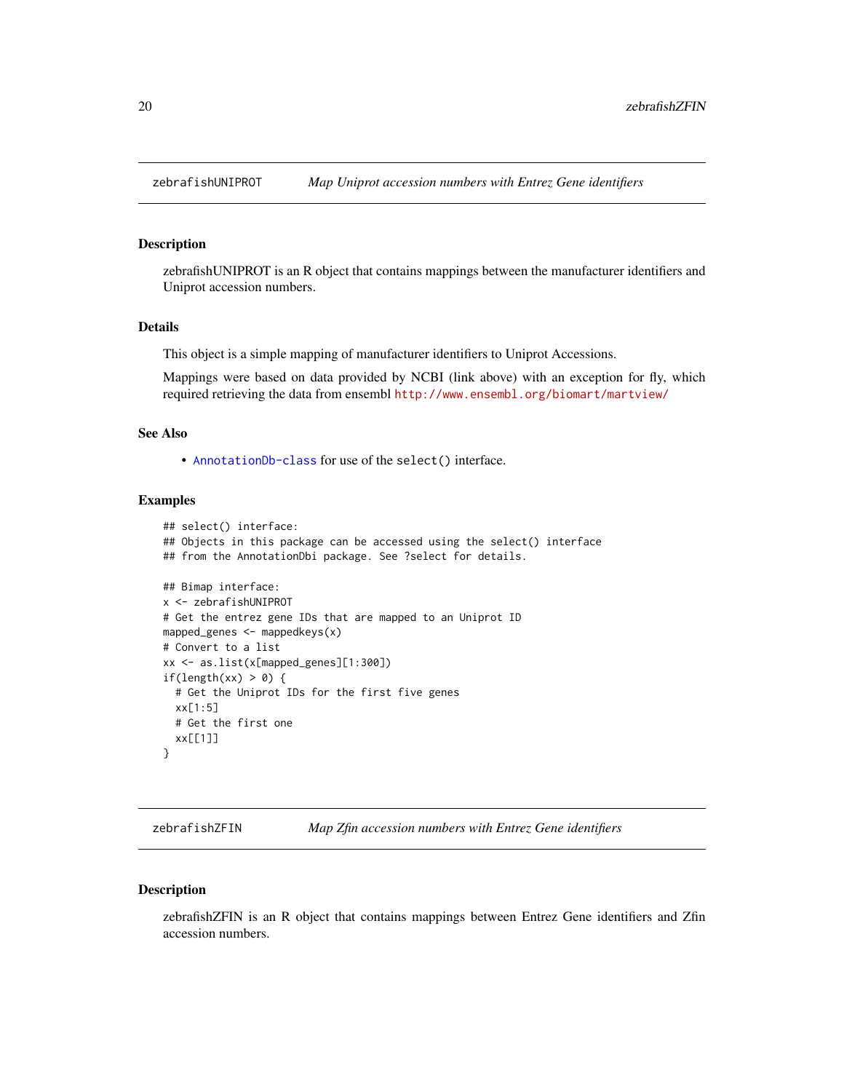<span id="page-19-0"></span>

zebrafishUNIPROT is an R object that contains mappings between the manufacturer identifiers and Uniprot accession numbers.

#### Details

This object is a simple mapping of manufacturer identifiers to Uniprot Accessions.

Mappings were based on data provided by NCBI (link above) with an exception for fly, which required retrieving the data from ensembl <http://www.ensembl.org/biomart/martview/>

## See Also

• [AnnotationDb-class](#page-0-0) for use of the select() interface.

## Examples

```
## select() interface:
## Objects in this package can be accessed using the select() interface
## from the AnnotationDbi package. See ?select for details.
## Bimap interface:
x <- zebrafishUNIPROT
# Get the entrez gene IDs that are mapped to an Uniprot ID
mapped_genes <- mappedkeys(x)
# Convert to a list
xx <- as.list(x[mapped_genes][1:300])
if(length(xx) > 0) {
  # Get the Uniprot IDs for the first five genes
  xx[1:5]
  # Get the first one
  xx[[1]]
}
```
zebrafishZFIN *Map Zfin accession numbers with Entrez Gene identifiers*

#### Description

zebrafishZFIN is an R object that contains mappings between Entrez Gene identifiers and Zfin accession numbers.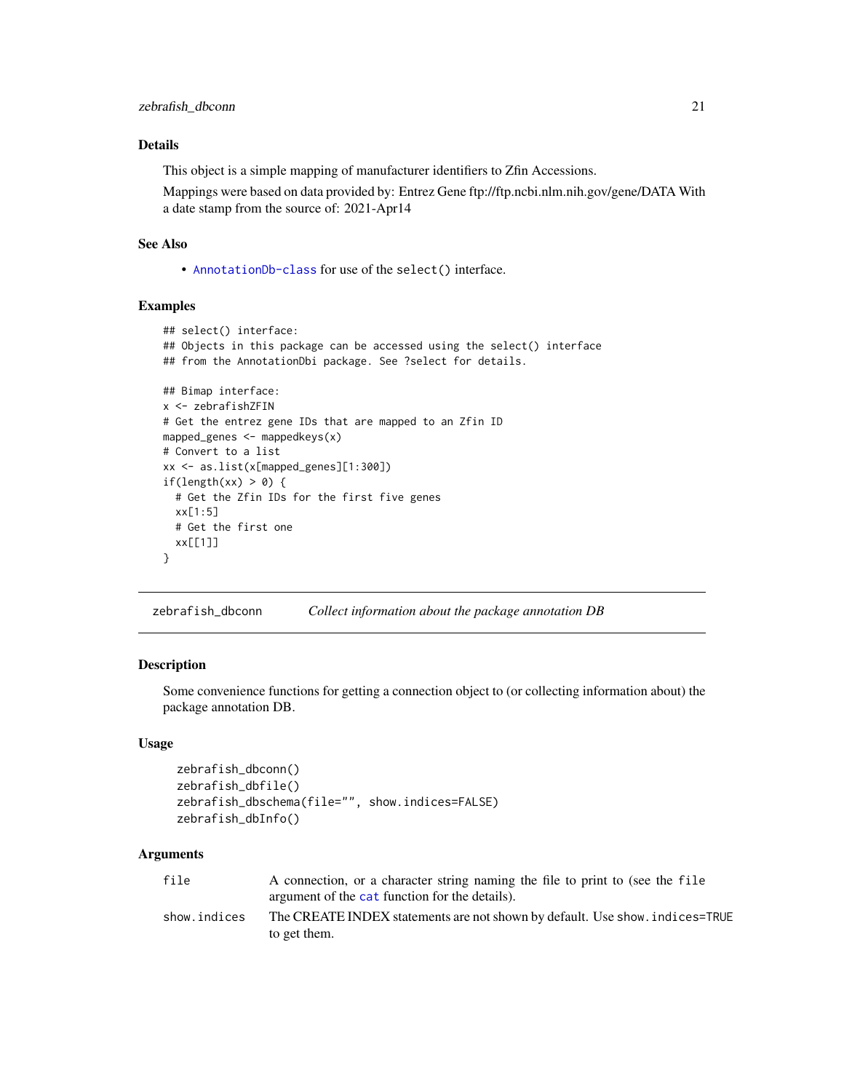## <span id="page-20-0"></span>Details

This object is a simple mapping of manufacturer identifiers to Zfin Accessions.

Mappings were based on data provided by: Entrez Gene ftp://ftp.ncbi.nlm.nih.gov/gene/DATA With a date stamp from the source of: 2021-Apr14

## See Also

• [AnnotationDb-class](#page-0-0) for use of the select() interface.

#### Examples

```
## select() interface:
## Objects in this package can be accessed using the select() interface
## from the AnnotationDbi package. See ?select for details.
## Bimap interface:
x <- zebrafishZFIN
# Get the entrez gene IDs that are mapped to an Zfin ID
mapped_genes <- mappedkeys(x)
# Convert to a list
xx <- as.list(x[mapped_genes][1:300])
if(length(xx) > 0) {
  # Get the Zfin IDs for the first five genes
  xx[1:5]
  # Get the first one
  xx[[1]]
}
```
zebrafish\_dbconn *Collect information about the package annotation DB*

#### Description

Some convenience functions for getting a connection object to (or collecting information about) the package annotation DB.

## Usage

```
zebrafish_dbconn()
zebrafish_dbfile()
zebrafish_dbschema(file="", show.indices=FALSE)
zebrafish_dbInfo()
```
#### Arguments

| file         | A connection, or a character string naming the file to print to (see the file |
|--------------|-------------------------------------------------------------------------------|
|              | argument of the cat function for the details).                                |
| show.indices | The CREATE INDEX statements are not shown by default. Use show, indices=TRUE  |
|              | to get them.                                                                  |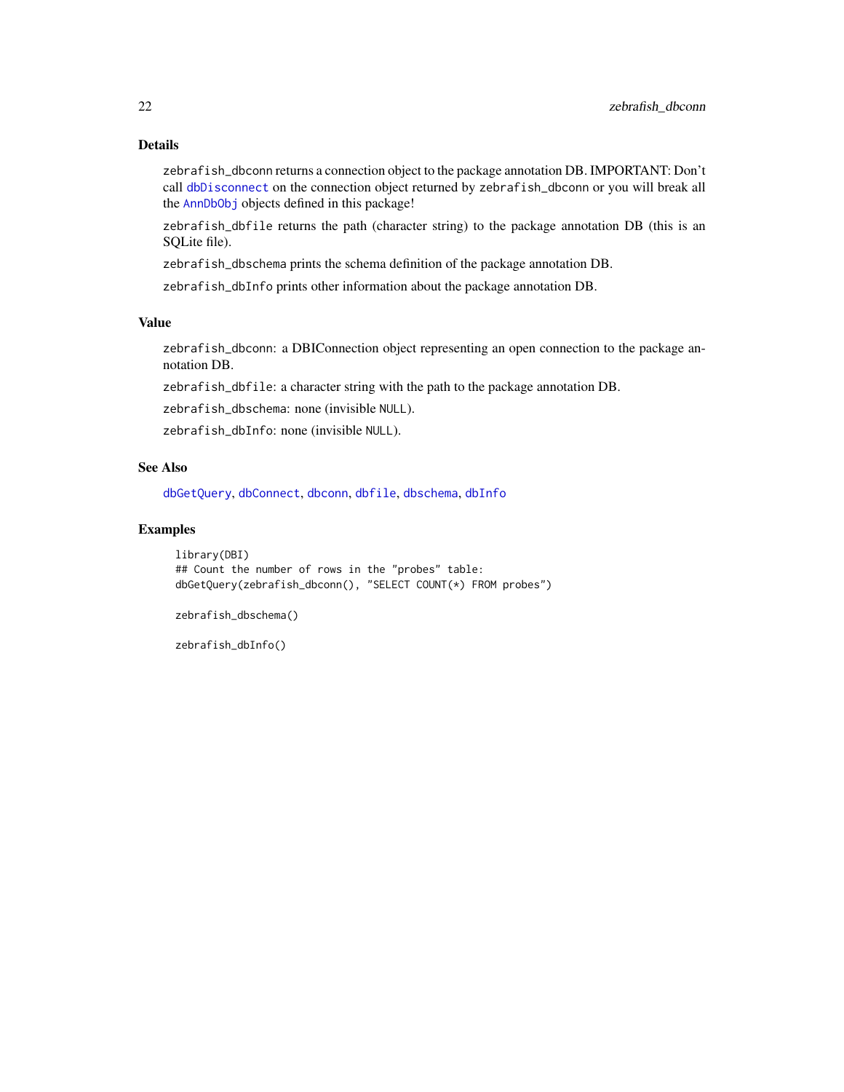## <span id="page-21-0"></span>Details

zebrafish\_dbconn returns a connection object to the package annotation DB. IMPORTANT: Don't call [dbDisconnect](#page-0-0) on the connection object returned by zebrafish\_dbconn or you will break all the [AnnDbObj](#page-0-0) objects defined in this package!

zebrafish\_dbfile returns the path (character string) to the package annotation DB (this is an SQLite file).

zebrafish\_dbschema prints the schema definition of the package annotation DB.

zebrafish\_dbInfo prints other information about the package annotation DB.

## Value

zebrafish\_dbconn: a DBIConnection object representing an open connection to the package annotation DB.

zebrafish\_dbfile: a character string with the path to the package annotation DB.

zebrafish\_dbschema: none (invisible NULL).

zebrafish\_dbInfo: none (invisible NULL).

## See Also

[dbGetQuery](#page-0-0), [dbConnect](#page-0-0), [dbconn](#page-0-0), [dbfile](#page-0-0), [dbschema](#page-0-0), [dbInfo](#page-0-0)

## Examples

library(DBI) ## Count the number of rows in the "probes" table: dbGetQuery(zebrafish\_dbconn(), "SELECT COUNT(\*) FROM probes")

zebrafish\_dbschema()

zebrafish\_dbInfo()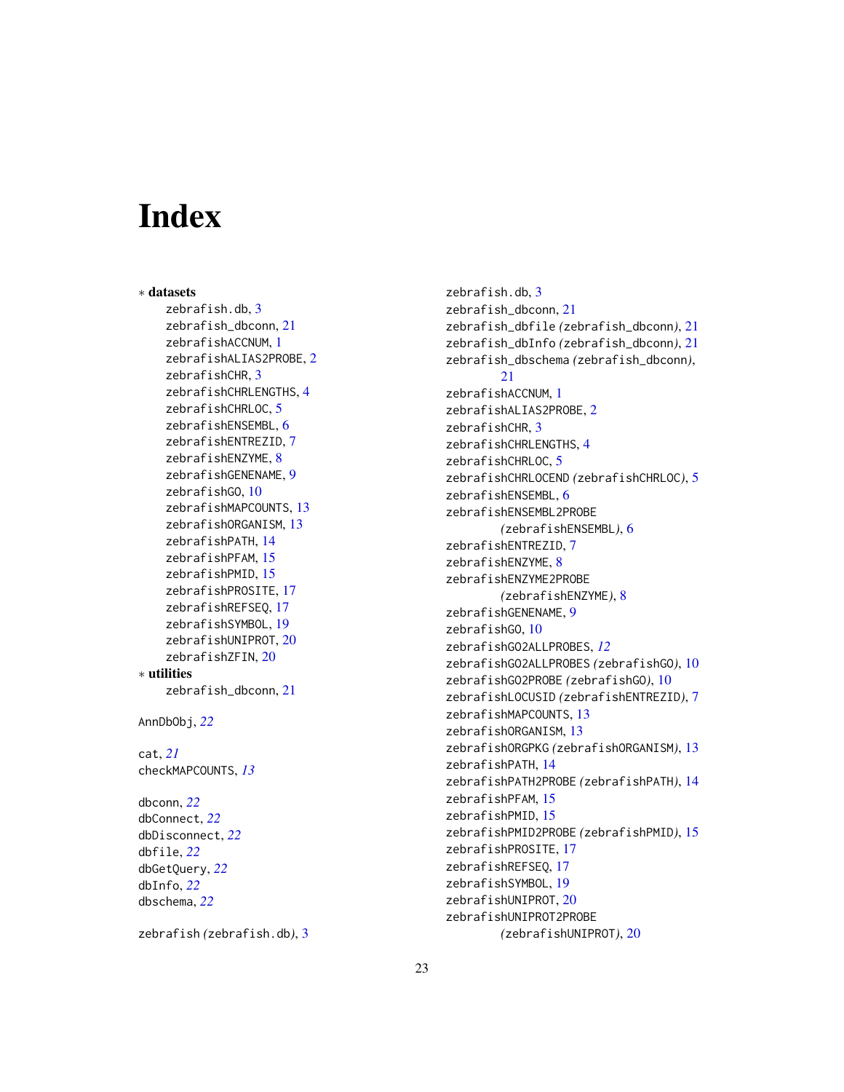# Index

∗ datasets zebrafish.db, [3](#page-2-0) zebrafish\_dbconn, [21](#page-20-0) zebrafishACCNUM, [1](#page-0-1) zebrafishALIAS2PROBE, [2](#page-1-0) zebrafishCHR, [3](#page-2-0) zebrafishCHRLENGTHS, [4](#page-3-0) zebrafishCHRLOC, [5](#page-4-0) zebrafishENSEMBL, [6](#page-5-0) zebrafishENTREZID, [7](#page-6-0) zebrafishENZYME, [8](#page-7-0) zebrafishGENENAME, [9](#page-8-0) zebrafishGO, [10](#page-9-1) zebrafishMAPCOUNTS, [13](#page-12-0) zebrafishORGANISM, [13](#page-12-0) zebrafishPATH, [14](#page-13-0) zebrafishPFAM, [15](#page-14-0) zebrafishPMID, [15](#page-14-0) zebrafishPROSITE, [17](#page-16-0) zebrafishREFSEQ, [17](#page-16-0) zebrafishSYMBOL, [19](#page-18-0) zebrafishUNIPROT, [20](#page-19-0) zebrafishZFIN, [20](#page-19-0) ∗ utilities zebrafish\_dbconn, [21](#page-20-0) AnnDbObj, *[22](#page-21-0)* cat, *[21](#page-20-0)* checkMAPCOUNTS, *[13](#page-12-0)* dbconn, *[22](#page-21-0)* dbConnect, *[22](#page-21-0)* dbDisconnect, *[22](#page-21-0)* dbfile, *[22](#page-21-0)* dbGetQuery, *[22](#page-21-0)* dbInfo, *[22](#page-21-0)* dbschema, *[22](#page-21-0)*

```
zebrafish (zebrafish.db), 3
```
zebrafish.db, [3](#page-2-0) zebrafish\_dbconn, [21](#page-20-0) zebrafish\_dbfile *(*zebrafish\_dbconn*)*, [21](#page-20-0) zebrafish\_dbInfo *(*zebrafish\_dbconn*)*, [21](#page-20-0) zebrafish\_dbschema *(*zebrafish\_dbconn*)*, [21](#page-20-0) zebrafishACCNUM, [1](#page-0-1) zebrafishALIAS2PROBE, [2](#page-1-0) zebrafishCHR, [3](#page-2-0) zebrafishCHRLENGTHS, [4](#page-3-0) zebrafishCHRLOC, [5](#page-4-0) zebrafishCHRLOCEND *(*zebrafishCHRLOC*)*, [5](#page-4-0) zebrafishENSEMBL, [6](#page-5-0) zebrafishENSEMBL2PROBE *(*zebrafishENSEMBL*)*, [6](#page-5-0) zebrafishENTREZID, [7](#page-6-0) zebrafishENZYME, [8](#page-7-0) zebrafishENZYME2PROBE *(*zebrafishENZYME*)*, [8](#page-7-0) zebrafishGENENAME, [9](#page-8-0) zebrafishGO, [10](#page-9-1) zebrafishGO2ALLPROBES, *[12](#page-11-0)* zebrafishGO2ALLPROBES *(*zebrafishGO*)*, [10](#page-9-1) zebrafishGO2PROBE *(*zebrafishGO*)*, [10](#page-9-1) zebrafishLOCUSID *(*zebrafishENTREZID*)*, [7](#page-6-0) zebrafishMAPCOUNTS, [13](#page-12-0) zebrafishORGANISM, [13](#page-12-0) zebrafishORGPKG *(*zebrafishORGANISM*)*, [13](#page-12-0) zebrafishPATH, [14](#page-13-0) zebrafishPATH2PROBE *(*zebrafishPATH*)*, [14](#page-13-0) zebrafishPFAM, [15](#page-14-0) zebrafishPMID, [15](#page-14-0) zebrafishPMID2PROBE *(*zebrafishPMID*)*, [15](#page-14-0) zebrafishPROSITE, [17](#page-16-0) zebrafishREFSEQ, [17](#page-16-0) zebrafishSYMBOL, [19](#page-18-0) zebrafishUNIPROT, [20](#page-19-0) zebrafishUNIPROT2PROBE *(*zebrafishUNIPROT*)*, [20](#page-19-0)